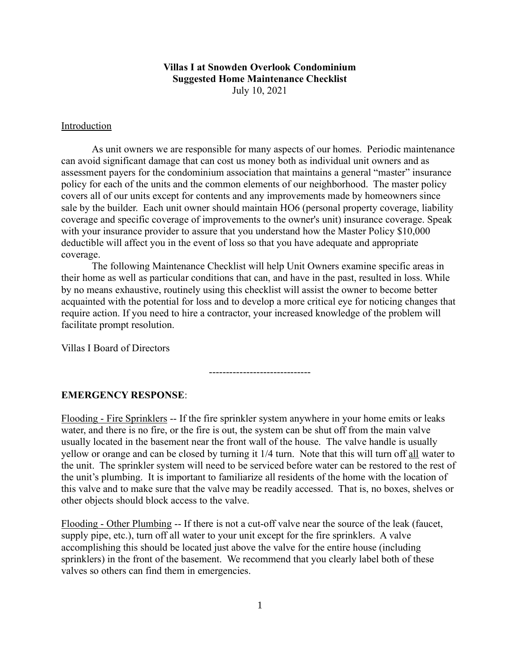# Villas I at Snowden Overlook Condominium Suggested Home Maintenance Checklist

July 10, 2021

#### Introduction

As unit owners we are responsible for many aspects of our homes. Periodic maintenance can avoid significant damage that can cost us money both as individual unit owners and as assessment payers for the condominium association that maintains a general "master" insurance policy for each of the units and the common elements of our neighborhood. The master policy covers all of our units except for contents and any improvements made by homeowners since sale by the builder. Each unit owner should maintain HO6 (personal property coverage, liability coverage and specific coverage of improvements to the owner's unit) insurance coverage. Speak with your insurance provider to assure that you understand how the Master Policy \$10,000 deductible will affect you in the event of loss so that you have adequate and appropriate coverage.

The following Maintenance Checklist will help Unit Owners examine specific areas in their home as well as particular conditions that can, and have in the past, resulted in loss. While by no means exhaustive, routinely using this checklist will assist the owner to become better acquainted with the potential for loss and to develop a more critical eye for noticing changes that require action. If you need to hire a contractor, your increased knowledge of the problem will facilitate prompt resolution.

Villas I Board of Directors

------------------------------

## EMERGENCY RESPONSE:

Flooding - Fire Sprinklers -- If the fire sprinkler system anywhere in your home emits or leaks water, and there is no fire, or the fire is out, the system can be shut off from the main valve usually located in the basement near the front wall of the house. The valve handle is usually yellow or orange and can be closed by turning it 1/4 turn. Note that this will turn off all water to the unit. The sprinkler system will need to be serviced before water can be restored to the rest of the unit's plumbing. It is important to familiarize all residents of the home with the location of this valve and to make sure that the valve may be readily accessed. That is, no boxes, shelves or other objects should block access to the valve.

Flooding - Other Plumbing -- If there is not a cut-off valve near the source of the leak (faucet, supply pipe, etc.), turn off all water to your unit except for the fire sprinklers. A valve accomplishing this should be located just above the valve for the entire house (including sprinklers) in the front of the basement. We recommend that you clearly label both of these valves so others can find them in emergencies.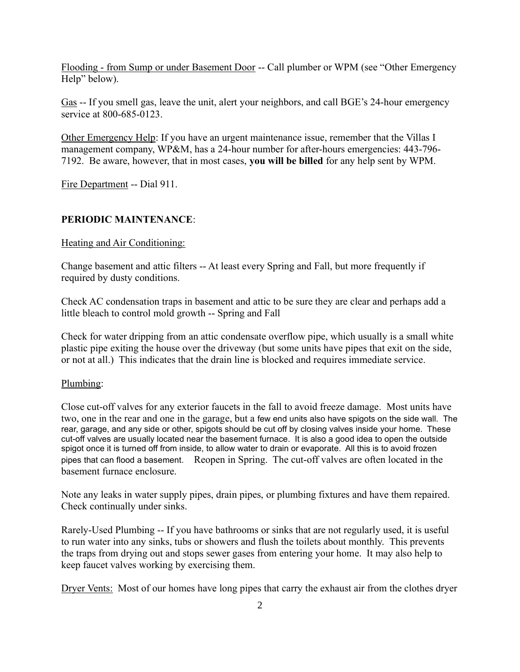Flooding - from Sump or under Basement Door -- Call plumber or WPM (see "Other Emergency Help" below).

Gas -- If you smell gas, leave the unit, alert your neighbors, and call BGE's 24-hour emergency service at 800-685-0123.

Other Emergency Help: If you have an urgent maintenance issue, remember that the Villas I management company, WP&M, has a 24-hour number for after-hours emergencies: 443-796- 7192. Be aware, however, that in most cases, you will be billed for any help sent by WPM.

Fire Department -- Dial 911.

# PERIODIC MAINTENANCE:

Heating and Air Conditioning:

Change basement and attic filters -- At least every Spring and Fall, but more frequently if required by dusty conditions.

Check AC condensation traps in basement and attic to be sure they are clear and perhaps add a little bleach to control mold growth -- Spring and Fall

Check for water dripping from an attic condensate overflow pipe, which usually is a small white plastic pipe exiting the house over the driveway (but some units have pipes that exit on the side, or not at all.) This indicates that the drain line is blocked and requires immediate service.

# Plumbing:

Close cut-off valves for any exterior faucets in the fall to avoid freeze damage. Most units have two, one in the rear and one in the garage, but a few end units also have spigots on the side wall. The rear, garage, and any side or other, spigots should be cut off by closing valves inside your home. These cut-off valves are usually located near the basement furnace. It is also a good idea to open the outside spigot once it is turned off from inside, to allow water to drain or evaporate. All this is to avoid frozen pipes that can flood a basement. Reopen in Spring. The cut-off valves are often located in the basement furnace enclosure.

Note any leaks in water supply pipes, drain pipes, or plumbing fixtures and have them repaired. Check continually under sinks.

Rarely-Used Plumbing -- If you have bathrooms or sinks that are not regularly used, it is useful to run water into any sinks, tubs or showers and flush the toilets about monthly. This prevents the traps from drying out and stops sewer gases from entering your home. It may also help to keep faucet valves working by exercising them.

Dryer Vents: Most of our homes have long pipes that carry the exhaust air from the clothes dryer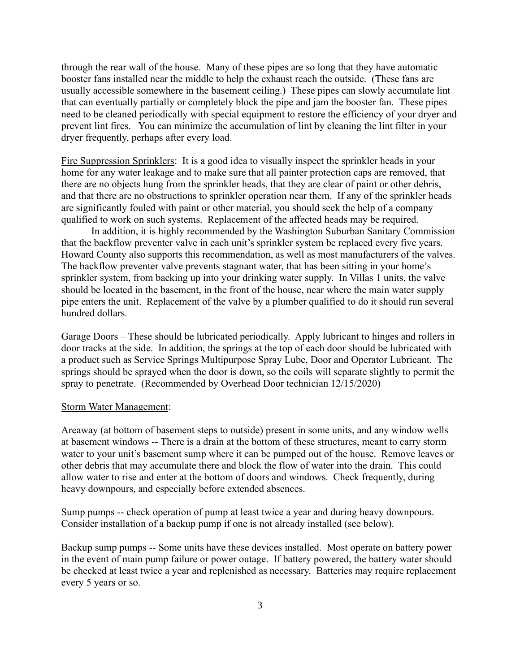through the rear wall of the house. Many of these pipes are so long that they have automatic booster fans installed near the middle to help the exhaust reach the outside. (These fans are usually accessible somewhere in the basement ceiling.) These pipes can slowly accumulate lint that can eventually partially or completely block the pipe and jam the booster fan. These pipes need to be cleaned periodically with special equipment to restore the efficiency of your dryer and prevent lint fires. You can minimize the accumulation of lint by cleaning the lint filter in your dryer frequently, perhaps after every load.

Fire Suppression Sprinklers: It is a good idea to visually inspect the sprinkler heads in your home for any water leakage and to make sure that all painter protection caps are removed, that there are no objects hung from the sprinkler heads, that they are clear of paint or other debris, and that there are no obstructions to sprinkler operation near them. If any of the sprinkler heads are significantly fouled with paint or other material, you should seek the help of a company qualified to work on such systems. Replacement of the affected heads may be required.

In addition, it is highly recommended by the Washington Suburban Sanitary Commission that the backflow preventer valve in each unit's sprinkler system be replaced every five years. Howard County also supports this recommendation, as well as most manufacturers of the valves. The backflow preventer valve prevents stagnant water, that has been sitting in your home's sprinkler system, from backing up into your drinking water supply. In Villas 1 units, the valve should be located in the basement, in the front of the house, near where the main water supply pipe enters the unit. Replacement of the valve by a plumber qualified to do it should run several hundred dollars.

Garage Doors – These should be lubricated periodically. Apply lubricant to hinges and rollers in door tracks at the side. In addition, the springs at the top of each door should be lubricated with a product such as Service Springs Multipurpose Spray Lube, Door and Operator Lubricant. The springs should be sprayed when the door is down, so the coils will separate slightly to permit the spray to penetrate. (Recommended by Overhead Door technician 12/15/2020)

#### Storm Water Management:

Areaway (at bottom of basement steps to outside) present in some units, and any window wells at basement windows -- There is a drain at the bottom of these structures, meant to carry storm water to your unit's basement sump where it can be pumped out of the house. Remove leaves or other debris that may accumulate there and block the flow of water into the drain. This could allow water to rise and enter at the bottom of doors and windows. Check frequently, during heavy downpours, and especially before extended absences.

Sump pumps -- check operation of pump at least twice a year and during heavy downpours. Consider installation of a backup pump if one is not already installed (see below).

Backup sump pumps -- Some units have these devices installed. Most operate on battery power in the event of main pump failure or power outage. If battery powered, the battery water should be checked at least twice a year and replenished as necessary. Batteries may require replacement every 5 years or so.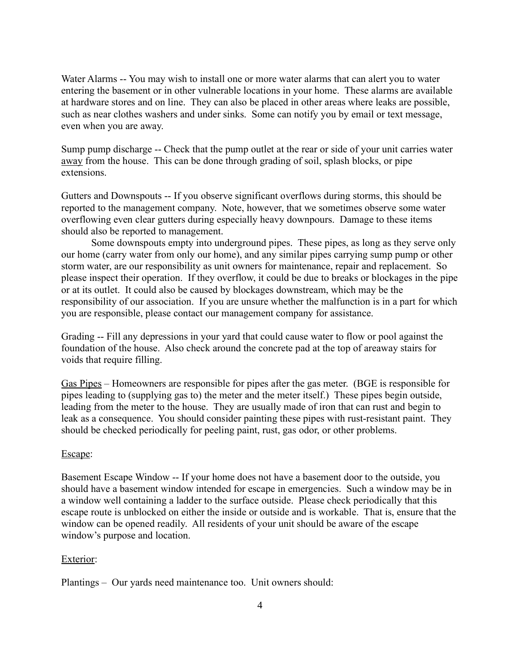Water Alarms -- You may wish to install one or more water alarms that can alert you to water entering the basement or in other vulnerable locations in your home. These alarms are available at hardware stores and on line. They can also be placed in other areas where leaks are possible, such as near clothes washers and under sinks. Some can notify you by email or text message, even when you are away.

Sump pump discharge -- Check that the pump outlet at the rear or side of your unit carries water away from the house. This can be done through grading of soil, splash blocks, or pipe extensions.

Gutters and Downspouts -- If you observe significant overflows during storms, this should be reported to the management company. Note, however, that we sometimes observe some water overflowing even clear gutters during especially heavy downpours. Damage to these items should also be reported to management.

Some downspouts empty into underground pipes. These pipes, as long as they serve only our home (carry water from only our home), and any similar pipes carrying sump pump or other storm water, are our responsibility as unit owners for maintenance, repair and replacement. So please inspect their operation. If they overflow, it could be due to breaks or blockages in the pipe or at its outlet. It could also be caused by blockages downstream, which may be the responsibility of our association. If you are unsure whether the malfunction is in a part for which you are responsible, please contact our management company for assistance.

Grading -- Fill any depressions in your yard that could cause water to flow or pool against the foundation of the house. Also check around the concrete pad at the top of areaway stairs for voids that require filling.

Gas Pipes – Homeowners are responsible for pipes after the gas meter. (BGE is responsible for pipes leading to (supplying gas to) the meter and the meter itself.) These pipes begin outside, leading from the meter to the house. They are usually made of iron that can rust and begin to leak as a consequence. You should consider painting these pipes with rust-resistant paint. They should be checked periodically for peeling paint, rust, gas odor, or other problems.

## Escape:

Basement Escape Window -- If your home does not have a basement door to the outside, you should have a basement window intended for escape in emergencies. Such a window may be in a window well containing a ladder to the surface outside. Please check periodically that this escape route is unblocked on either the inside or outside and is workable. That is, ensure that the window can be opened readily. All residents of your unit should be aware of the escape window's purpose and location.

## Exterior:

Plantings – Our yards need maintenance too. Unit owners should: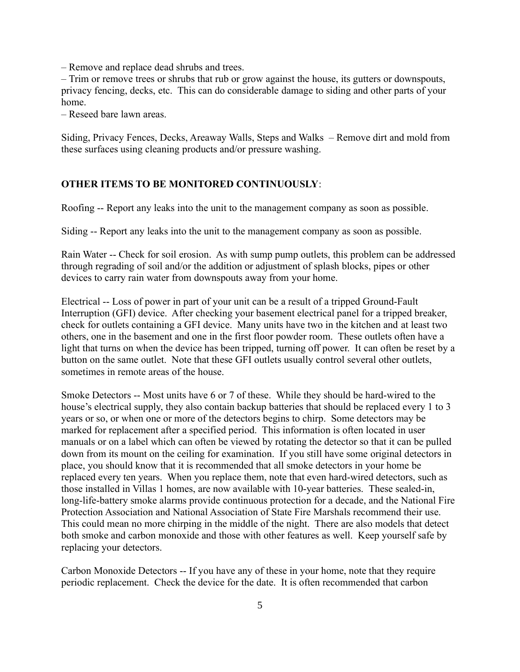– Remove and replace dead shrubs and trees.

– Trim or remove trees or shrubs that rub or grow against the house, its gutters or downspouts, privacy fencing, decks, etc. This can do considerable damage to siding and other parts of your home.

– Reseed bare lawn areas.

Siding, Privacy Fences, Decks, Areaway Walls, Steps and Walks – Remove dirt and mold from these surfaces using cleaning products and/or pressure washing.

## OTHER ITEMS TO BE MONITORED CONTINUOUSLY:

Roofing -- Report any leaks into the unit to the management company as soon as possible.

Siding -- Report any leaks into the unit to the management company as soon as possible.

Rain Water -- Check for soil erosion. As with sump pump outlets, this problem can be addressed through regrading of soil and/or the addition or adjustment of splash blocks, pipes or other devices to carry rain water from downspouts away from your home.

Electrical -- Loss of power in part of your unit can be a result of a tripped Ground-Fault Interruption (GFI) device. After checking your basement electrical panel for a tripped breaker, check for outlets containing a GFI device. Many units have two in the kitchen and at least two others, one in the basement and one in the first floor powder room. These outlets often have a light that turns on when the device has been tripped, turning off power. It can often be reset by a button on the same outlet. Note that these GFI outlets usually control several other outlets, sometimes in remote areas of the house.

Smoke Detectors -- Most units have 6 or 7 of these. While they should be hard-wired to the house's electrical supply, they also contain backup batteries that should be replaced every 1 to 3 years or so, or when one or more of the detectors begins to chirp. Some detectors may be marked for replacement after a specified period. This information is often located in user manuals or on a label which can often be viewed by rotating the detector so that it can be pulled down from its mount on the ceiling for examination. If you still have some original detectors in place, you should know that it is recommended that all smoke detectors in your home be replaced every ten years. When you replace them, note that even hard-wired detectors, such as those installed in Villas 1 homes, are now available with 10-year batteries. These sealed-in, long-life-battery smoke alarms provide continuous protection for a decade, and the National Fire Protection Association and National Association of State Fire Marshals recommend their use. This could mean no more chirping in the middle of the night. There are also models that detect both smoke and carbon monoxide and those with other features as well. Keep yourself safe by replacing your detectors.

Carbon Monoxide Detectors -- If you have any of these in your home, note that they require periodic replacement. Check the device for the date. It is often recommended that carbon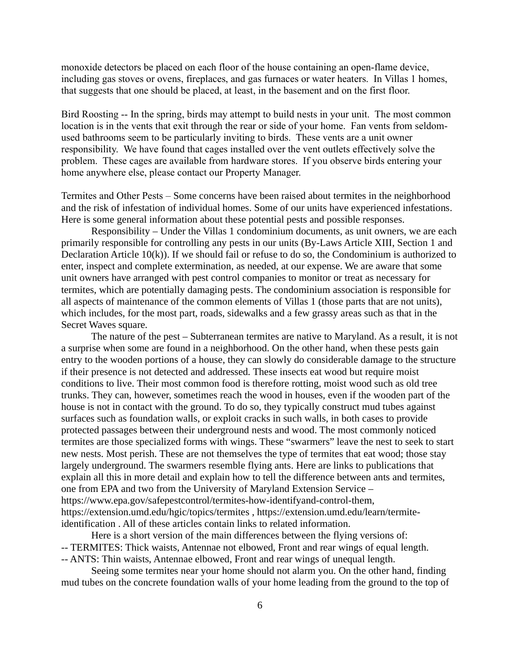monoxide detectors be placed on each floor of the house containing an open-flame device, including gas stoves or ovens, fireplaces, and gas furnaces or water heaters. In Villas 1 homes, that suggests that one should be placed, at least, in the basement and on the first floor.

Bird Roosting -- In the spring, birds may attempt to build nests in your unit. The most common location is in the vents that exit through the rear or side of your home. Fan vents from seldomused bathrooms seem to be particularly inviting to birds. These vents are a unit owner responsibility. We have found that cages installed over the vent outlets effectively solve the problem. These cages are available from hardware stores. If you observe birds entering your home anywhere else, please contact our Property Manager.

Termites and Other Pests – Some concerns have been raised about termites in the neighborhood and the risk of infestation of individual homes. Some of our units have experienced infestations. Here is some general information about these potential pests and possible responses.

Responsibility – Under the Villas 1 condominium documents, as unit owners, we are each primarily responsible for controlling any pests in our units (By-Laws Article XIII, Section 1 and Declaration Article 10(k)). If we should fail or refuse to do so, the Condominium is authorized to enter, inspect and complete extermination, as needed, at our expense. We are aware that some unit owners have arranged with pest control companies to monitor or treat as necessary for termites, which are potentially damaging pests. The condominium association is responsible for all aspects of maintenance of the common elements of Villas 1 (those parts that are not units), which includes, for the most part, roads, sidewalks and a few grassy areas such as that in the Secret Waves square.

The nature of the pest – Subterranean termites are native to Maryland. As a result, it is not a surprise when some are found in a neighborhood. On the other hand, when these pests gain entry to the wooden portions of a house, they can slowly do considerable damage to the structure if their presence is not detected and addressed. These insects eat wood but require moist conditions to live. Their most common food is therefore rotting, moist wood such as old tree trunks. They can, however, sometimes reach the wood in houses, even if the wooden part of the house is not in contact with the ground. To do so, they typically construct mud tubes against surfaces such as foundation walls, or exploit cracks in such walls, in both cases to provide protected passages between their underground nests and wood. The most commonly noticed termites are those specialized forms with wings. These "swarmers" leave the nest to seek to start new nests. Most perish. These are not themselves the type of termites that eat wood; those stay largely underground. The swarmers resemble flying ants. Here are links to publications that explain all this in more detail and explain how to tell the difference between ants and termites, one from EPA and two from the University of Maryland Extension Service – https://www.epa.gov/safepestcontrol/termites-how-identifyand-control-them, https://extension.umd.edu/hgic/topics/termites , https://extension.umd.edu/learn/termiteidentification . All of these articles contain links to related information.

Here is a short version of the main differences between the flying versions of: -- TERMITES: Thick waists, Antennae not elbowed, Front and rear wings of equal length. -- ANTS: Thin waists, Antennae elbowed, Front and rear wings of unequal length.

Seeing some termites near your home should not alarm you. On the other hand, finding mud tubes on the concrete foundation walls of your home leading from the ground to the top of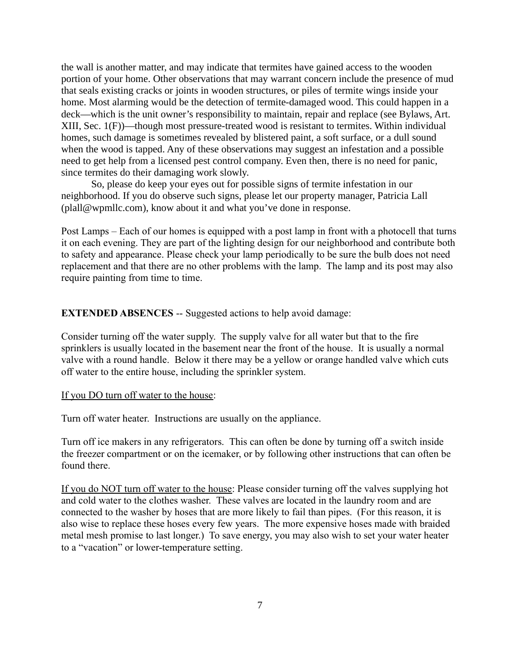the wall is another matter, and may indicate that termites have gained access to the wooden portion of your home. Other observations that may warrant concern include the presence of mud that seals existing cracks or joints in wooden structures, or piles of termite wings inside your home. Most alarming would be the detection of termite-damaged wood. This could happen in a deck—which is the unit owner's responsibility to maintain, repair and replace (see Bylaws, Art. XIII, Sec. 1(F))—though most pressure-treated wood is resistant to termites. Within individual homes, such damage is sometimes revealed by blistered paint, a soft surface, or a dull sound when the wood is tapped. Any of these observations may suggest an infestation and a possible need to get help from a licensed pest control company. Even then, there is no need for panic, since termites do their damaging work slowly.

So, please do keep your eyes out for possible signs of termite infestation in our neighborhood. If you do observe such signs, please let our property manager, Patricia Lall (plall@wpmllc.com), know about it and what you've done in response.

Post Lamps – Each of our homes is equipped with a post lamp in front with a photocell that turns it on each evening. They are part of the lighting design for our neighborhood and contribute both to safety and appearance. Please check your lamp periodically to be sure the bulb does not need replacement and that there are no other problems with the lamp. The lamp and its post may also require painting from time to time.

## EXTENDED ABSENCES -- Suggested actions to help avoid damage:

Consider turning off the water supply. The supply valve for all water but that to the fire sprinklers is usually located in the basement near the front of the house. It is usually a normal valve with a round handle. Below it there may be a yellow or orange handled valve which cuts off water to the entire house, including the sprinkler system.

#### If you DO turn off water to the house:

Turn off water heater. Instructions are usually on the appliance.

Turn off ice makers in any refrigerators. This can often be done by turning off a switch inside the freezer compartment or on the icemaker, or by following other instructions that can often be found there.

If you do NOT turn off water to the house: Please consider turning off the valves supplying hot and cold water to the clothes washer. These valves are located in the laundry room and are connected to the washer by hoses that are more likely to fail than pipes. (For this reason, it is also wise to replace these hoses every few years. The more expensive hoses made with braided metal mesh promise to last longer.) To save energy, you may also wish to set your water heater to a "vacation" or lower-temperature setting.